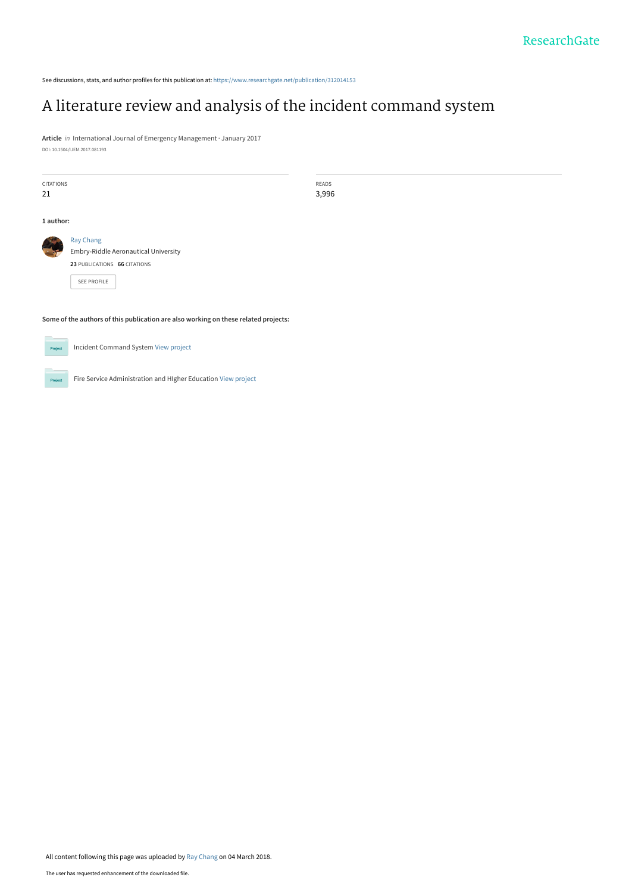See discussions, stats, and author profiles for this publication at: [https://www.researchgate.net/publication/312014153](https://www.researchgate.net/publication/312014153_A_literature_review_and_analysis_of_the_incident_command_system?enrichId=rgreq-bab6700f30039349721318c53497f25c-XXX&enrichSource=Y292ZXJQYWdlOzMxMjAxNDE1MztBUzo2MDAzMTYyODIxNTkxMDVAMTUyMDEzNzk2Mzg2Mg%3D%3D&el=1_x_2&_esc=publicationCoverPdf)

# [A literature review and analysis of the incident command system](https://www.researchgate.net/publication/312014153_A_literature_review_and_analysis_of_the_incident_command_system?enrichId=rgreq-bab6700f30039349721318c53497f25c-XXX&enrichSource=Y292ZXJQYWdlOzMxMjAxNDE1MztBUzo2MDAzMTYyODIxNTkxMDVAMTUyMDEzNzk2Mzg2Mg%3D%3D&el=1_x_3&_esc=publicationCoverPdf)

**Article** in International Journal of Emergency Management · January 2017 DOI: 10.1504/IJEM.2017.081193

| <b>CITATIONS</b><br>21                                                              |                                                                                                  | READS<br>3,996 |  |
|-------------------------------------------------------------------------------------|--------------------------------------------------------------------------------------------------|----------------|--|
| 1 author:                                                                           |                                                                                                  |                |  |
|                                                                                     | Ray Chang<br>Embry-Riddle Aeronautical University<br>23 PUBLICATIONS 66 CITATIONS<br>SEE PROFILE |                |  |
| Some of the authors of this publication are also working on these related projects: |                                                                                                  |                |  |



Incident Command System [View project](https://www.researchgate.net/project/Incident-Command-System?enrichId=rgreq-bab6700f30039349721318c53497f25c-XXX&enrichSource=Y292ZXJQYWdlOzMxMjAxNDE1MztBUzo2MDAzMTYyODIxNTkxMDVAMTUyMDEzNzk2Mzg2Mg%3D%3D&el=1_x_9&_esc=publicationCoverPdf)



Fire Service Administration and HIgher Education [View project](https://www.researchgate.net/project/Fire-Service-Administration-and-HIgher-Education?enrichId=rgreq-bab6700f30039349721318c53497f25c-XXX&enrichSource=Y292ZXJQYWdlOzMxMjAxNDE1MztBUzo2MDAzMTYyODIxNTkxMDVAMTUyMDEzNzk2Mzg2Mg%3D%3D&el=1_x_9&_esc=publicationCoverPdf)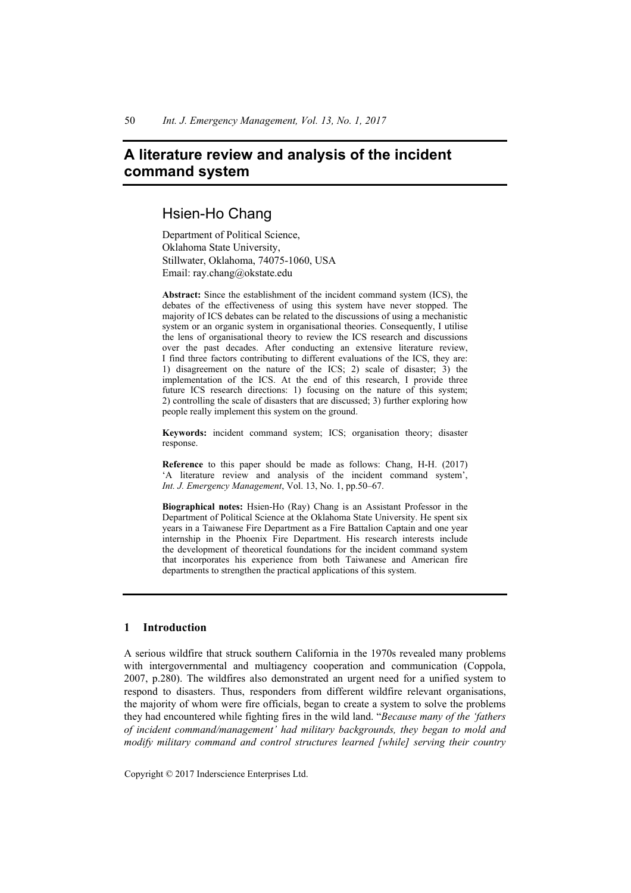# **A literature review and analysis of the incident command system**

# Hsien-Ho Chang

Department of Political Science, Oklahoma State University, Stillwater, Oklahoma, 74075-1060, USA Email: ray.chang@okstate.edu

**Abstract:** Since the establishment of the incident command system (ICS), the debates of the effectiveness of using this system have never stopped. The majority of ICS debates can be related to the discussions of using a mechanistic system or an organic system in organisational theories. Consequently, I utilise the lens of organisational theory to review the ICS research and discussions over the past decades. After conducting an extensive literature review, I find three factors contributing to different evaluations of the ICS, they are: 1) disagreement on the nature of the ICS; 2) scale of disaster; 3) the implementation of the ICS. At the end of this research, I provide three future ICS research directions: 1) focusing on the nature of this system; 2) controlling the scale of disasters that are discussed; 3) further exploring how people really implement this system on the ground.

**Keywords:** incident command system; ICS; organisation theory; disaster response.

**Reference** to this paper should be made as follows: Chang, H-H. (2017) 'A literature review and analysis of the incident command system', *Int. J. Emergency Management*, Vol. 13, No. 1, pp.50–67.

**Biographical notes:** Hsien-Ho (Ray) Chang is an Assistant Professor in the Department of Political Science at the Oklahoma State University. He spent six years in a Taiwanese Fire Department as a Fire Battalion Captain and one year internship in the Phoenix Fire Department. His research interests include the development of theoretical foundations for the incident command system that incorporates his experience from both Taiwanese and American fire departments to strengthen the practical applications of this system.

# **1 Introduction**

A serious wildfire that struck southern California in the 1970s revealed many problems with intergovernmental and multiagency cooperation and communication (Coppola, 2007, p.280). The wildfires also demonstrated an urgent need for a unified system to respond to disasters. Thus, responders from different wildfire relevant organisations, the majority of whom were fire officials, began to create a system to solve the problems they had encountered while fighting fires in the wild land. "*Because many of the 'fathers of incident command/management' had military backgrounds, they began to mold and modify military command and control structures learned [while] serving their country* 

Copyright © 2017 Inderscience Enterprises Ltd.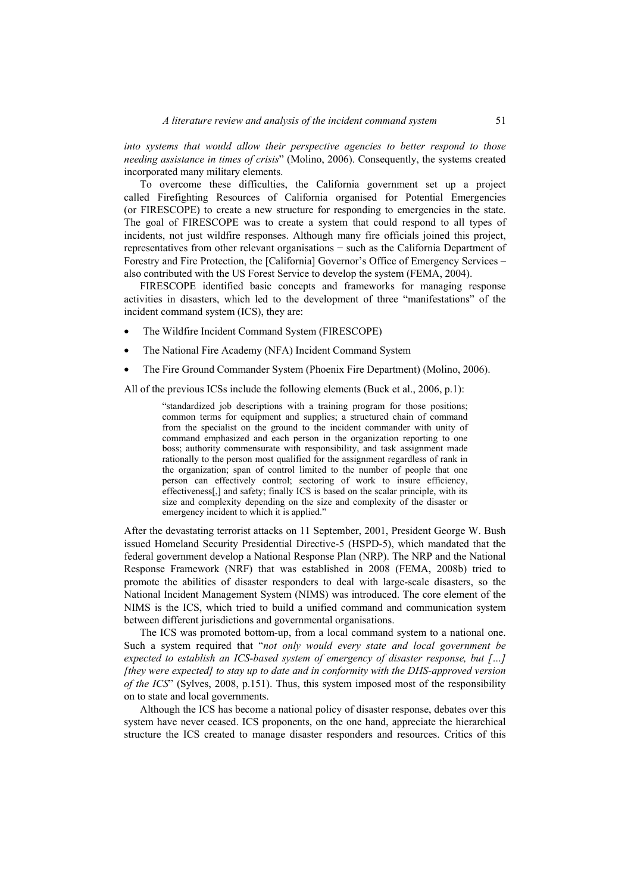*into systems that would allow their perspective agencies to better respond to those needing assistance in times of crisis*" (Molino, 2006). Consequently, the systems created incorporated many military elements.

To overcome these difficulties, the California government set up a project called Firefighting Resources of California organised for Potential Emergencies (or FIRESCOPE) to create a new structure for responding to emergencies in the state. The goal of FIRESCOPE was to create a system that could respond to all types of incidents, not just wildfire responses. Although many fire officials joined this project, representatives from other relevant organisations − such as the California Department of Forestry and Fire Protection, the [California] Governor's Office of Emergency Services – also contributed with the US Forest Service to develop the system (FEMA, 2004).

FIRESCOPE identified basic concepts and frameworks for managing response activities in disasters, which led to the development of three "manifestations" of the incident command system (ICS), they are:

- The Wildfire Incident Command System (FIRESCOPE)
- The National Fire Academy (NFA) Incident Command System
- The Fire Ground Commander System (Phoenix Fire Department) (Molino, 2006).

All of the previous ICSs include the following elements (Buck et al., 2006, p.1):

"standardized job descriptions with a training program for those positions; common terms for equipment and supplies; a structured chain of command from the specialist on the ground to the incident commander with unity of command emphasized and each person in the organization reporting to one boss; authority commensurate with responsibility, and task assignment made rationally to the person most qualified for the assignment regardless of rank in the organization; span of control limited to the number of people that one person can effectively control; sectoring of work to insure efficiency, effectiveness[,] and safety; finally ICS is based on the scalar principle, with its size and complexity depending on the size and complexity of the disaster or emergency incident to which it is applied."

After the devastating terrorist attacks on 11 September, 2001, President George W. Bush issued Homeland Security Presidential Directive-5 (HSPD-5), which mandated that the federal government develop a National Response Plan (NRP). The NRP and the National Response Framework (NRF) that was established in 2008 (FEMA, 2008b) tried to promote the abilities of disaster responders to deal with large-scale disasters, so the National Incident Management System (NIMS) was introduced. The core element of the NIMS is the ICS, which tried to build a unified command and communication system between different jurisdictions and governmental organisations.

The ICS was promoted bottom-up, from a local command system to a national one. Such a system required that "*not only would every state and local government be expected to establish an ICS-based system of emergency of disaster response, but […] [they were expected] to stay up to date and in conformity with the DHS-approved version of the ICS*" (Sylves, 2008, p.151). Thus, this system imposed most of the responsibility on to state and local governments.

Although the ICS has become a national policy of disaster response, debates over this system have never ceased. ICS proponents, on the one hand, appreciate the hierarchical structure the ICS created to manage disaster responders and resources. Critics of this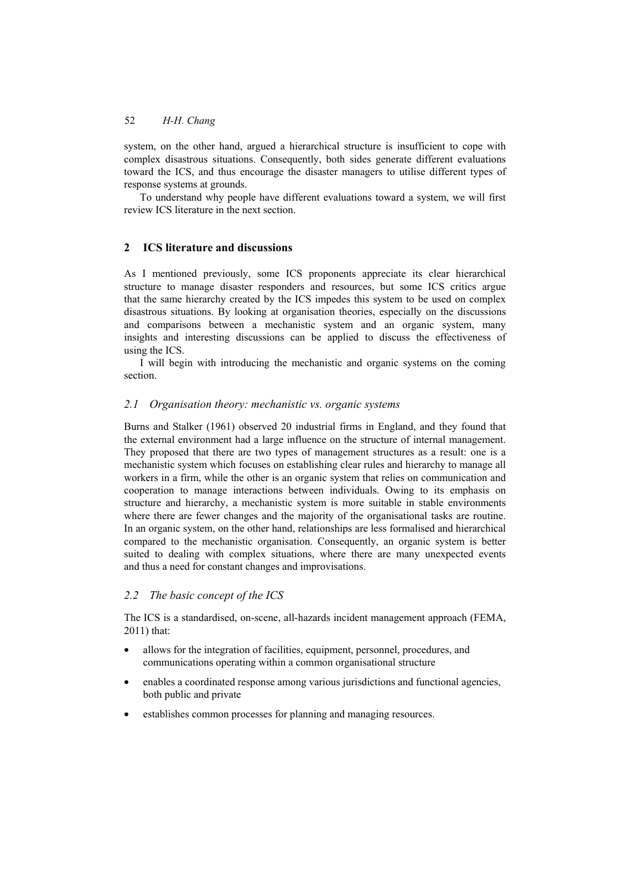system, on the other hand, argued a hierarchical structure is insufficient to cope with complex disastrous situations. Consequently, both sides generate different evaluations toward the ICS, and thus encourage the disaster managers to utilise different types of response systems at grounds.

To understand why people have different evaluations toward a system, we will first review ICS literature in the next section.

# **2 ICS literature and discussions**

As I mentioned previously, some ICS proponents appreciate its clear hierarchical structure to manage disaster responders and resources, but some ICS critics argue that the same hierarchy created by the ICS impedes this system to be used on complex disastrous situations. By looking at organisation theories, especially on the discussions and comparisons between a mechanistic system and an organic system, many insights and interesting discussions can be applied to discuss the effectiveness of using the ICS.

I will begin with introducing the mechanistic and organic systems on the coming section.

# *2.1 Organisation theory: mechanistic vs. organic systems*

Burns and Stalker (1961) observed 20 industrial firms in England, and they found that the external environment had a large influence on the structure of internal management. They proposed that there are two types of management structures as a result: one is a mechanistic system which focuses on establishing clear rules and hierarchy to manage all workers in a firm, while the other is an organic system that relies on communication and cooperation to manage interactions between individuals. Owing to its emphasis on structure and hierarchy, a mechanistic system is more suitable in stable environments where there are fewer changes and the majority of the organisational tasks are routine. In an organic system, on the other hand, relationships are less formalised and hierarchical compared to the mechanistic organisation. Consequently, an organic system is better suited to dealing with complex situations, where there are many unexpected events and thus a need for constant changes and improvisations.

#### *2.2 The basic concept of the ICS*

The ICS is a standardised, on-scene, all-hazards incident management approach (FEMA, 2011) that:

- allows for the integration of facilities, equipment, personnel, procedures, and communications operating within a common organisational structure
- enables a coordinated response among various jurisdictions and functional agencies, both public and private
- establishes common processes for planning and managing resources.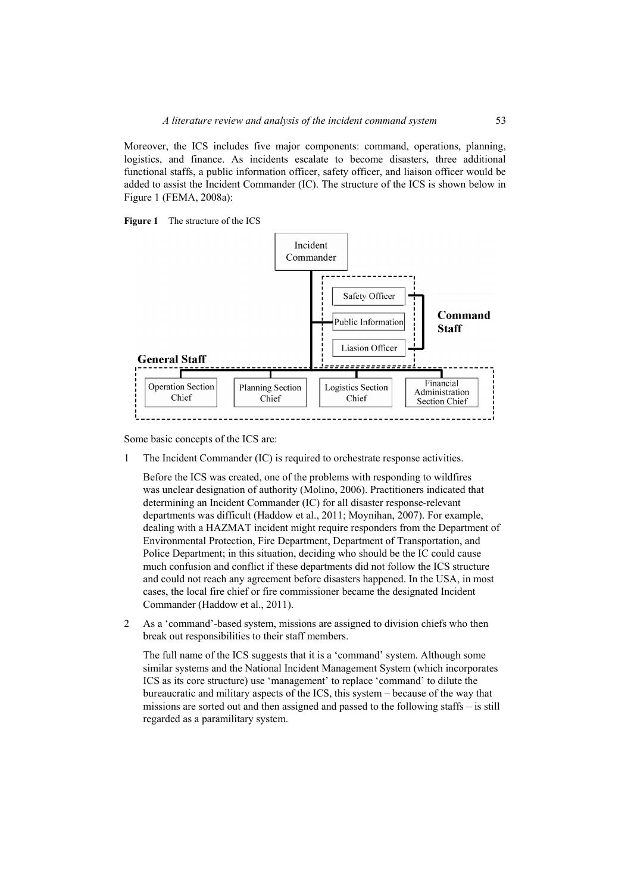Moreover, the ICS includes five major components: command, operations, planning, logistics, and finance. As incidents escalate to become disasters, three additional functional staffs, a public information officer, safety officer, and liaison officer would be added to assist the Incident Commander (IC). The structure of the ICS is shown below in Figure 1 (FEMA, 2008a):

**Figure 1** The structure of the ICS



Some basic concepts of the ICS are:

1 The Incident Commander (IC) is required to orchestrate response activities.

Before the ICS was created, one of the problems with responding to wildfires was unclear designation of authority (Molino, 2006). Practitioners indicated that determining an Incident Commander (IC) for all disaster response-relevant departments was difficult (Haddow et al., 2011; Moynihan, 2007). For example, dealing with a HAZMAT incident might require responders from the Department of Environmental Protection, Fire Department, Department of Transportation, and Police Department; in this situation, deciding who should be the IC could cause much confusion and conflict if these departments did not follow the ICS structure and could not reach any agreement before disasters happened. In the USA, in most cases, the local fire chief or fire commissioner became the designated Incident Commander (Haddow et al., 2011).

2 As a 'command'-based system, missions are assigned to division chiefs who then break out responsibilities to their staff members.

The full name of the ICS suggests that it is a 'command' system. Although some similar systems and the National Incident Management System (which incorporates ICS as its core structure) use 'management' to replace 'command' to dilute the bureaucratic and military aspects of the ICS, this system – because of the way that missions are sorted out and then assigned and passed to the following staffs – is still regarded as a paramilitary system.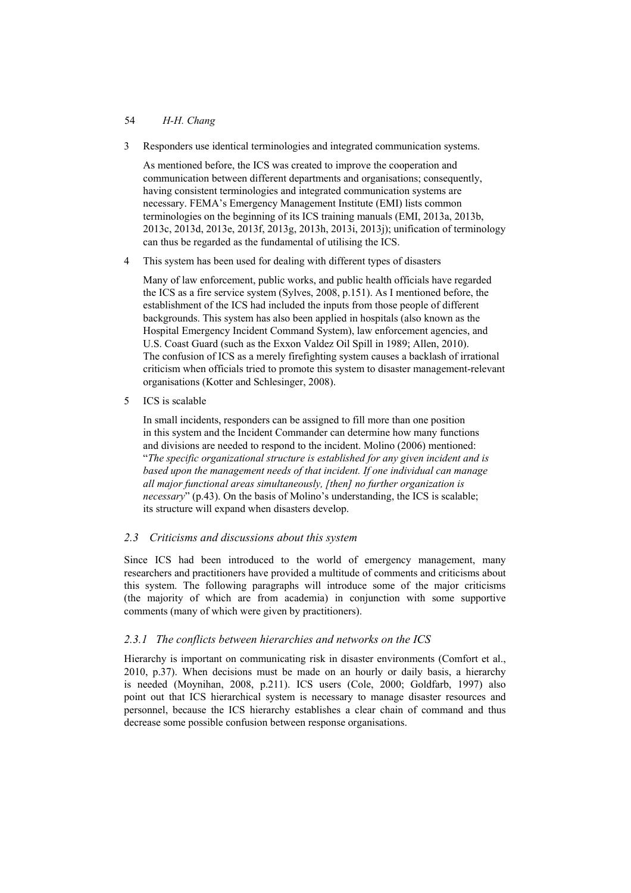3 Responders use identical terminologies and integrated communication systems.

As mentioned before, the ICS was created to improve the cooperation and communication between different departments and organisations; consequently, having consistent terminologies and integrated communication systems are necessary. FEMA's Emergency Management Institute (EMI) lists common terminologies on the beginning of its ICS training manuals (EMI, 2013a, 2013b, 2013c, 2013d, 2013e, 2013f, 2013g, 2013h, 2013i, 2013j); unification of terminology can thus be regarded as the fundamental of utilising the ICS.

4 This system has been used for dealing with different types of disasters

Many of law enforcement, public works, and public health officials have regarded the ICS as a fire service system (Sylves, 2008, p.151). As I mentioned before, the establishment of the ICS had included the inputs from those people of different backgrounds. This system has also been applied in hospitals (also known as the Hospital Emergency Incident Command System), law enforcement agencies, and U.S. Coast Guard (such as the Exxon Valdez Oil Spill in 1989; Allen, 2010). The confusion of ICS as a merely firefighting system causes a backlash of irrational criticism when officials tried to promote this system to disaster management-relevant organisations (Kotter and Schlesinger, 2008).

5 ICS is scalable

In small incidents, responders can be assigned to fill more than one position in this system and the Incident Commander can determine how many functions and divisions are needed to respond to the incident. Molino (2006) mentioned: "*The specific organizational structure is established for any given incident and is based upon the management needs of that incident. If one individual can manage all major functional areas simultaneously, [then] no further organization is necessary*" (p.43). On the basis of Molino's understanding, the ICS is scalable; its structure will expand when disasters develop.

# *2.3 Criticisms and discussions about this system*

Since ICS had been introduced to the world of emergency management, many researchers and practitioners have provided a multitude of comments and criticisms about this system. The following paragraphs will introduce some of the major criticisms (the majority of which are from academia) in conjunction with some supportive comments (many of which were given by practitioners).

# *2.3.1 The conflicts between hierarchies and networks on the ICS*

Hierarchy is important on communicating risk in disaster environments (Comfort et al., 2010, p.37). When decisions must be made on an hourly or daily basis, a hierarchy is needed (Moynihan, 2008, p.211). ICS users (Cole, 2000; Goldfarb, 1997) also point out that ICS hierarchical system is necessary to manage disaster resources and personnel, because the ICS hierarchy establishes a clear chain of command and thus decrease some possible confusion between response organisations.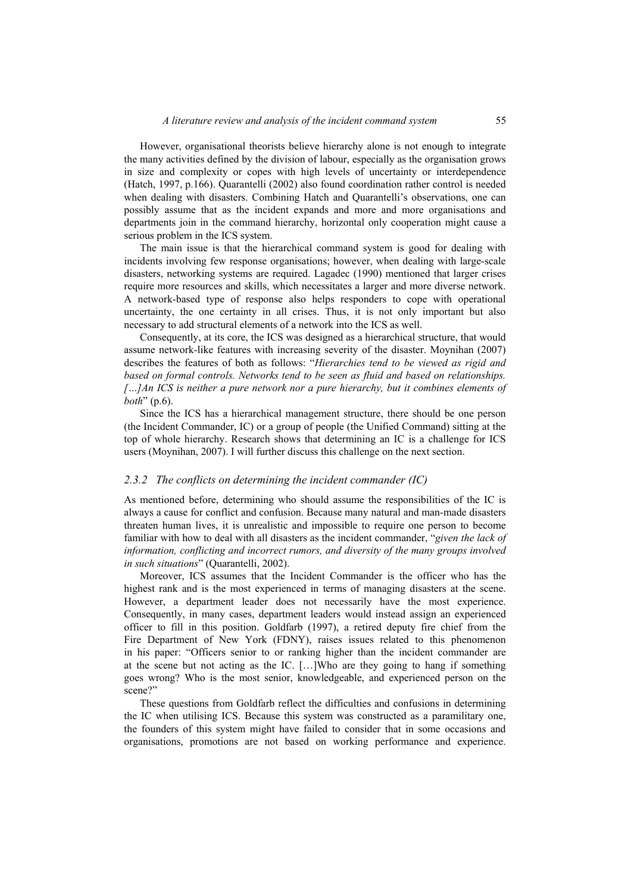However, organisational theorists believe hierarchy alone is not enough to integrate the many activities defined by the division of labour, especially as the organisation grows in size and complexity or copes with high levels of uncertainty or interdependence (Hatch, 1997, p.166). Quarantelli (2002) also found coordination rather control is needed when dealing with disasters. Combining Hatch and Quarantelli's observations, one can possibly assume that as the incident expands and more and more organisations and departments join in the command hierarchy, horizontal only cooperation might cause a serious problem in the ICS system.

The main issue is that the hierarchical command system is good for dealing with incidents involving few response organisations; however, when dealing with large-scale disasters, networking systems are required. Lagadec (1990) mentioned that larger crises require more resources and skills, which necessitates a larger and more diverse network. A network-based type of response also helps responders to cope with operational uncertainty, the one certainty in all crises. Thus, it is not only important but also necessary to add structural elements of a network into the ICS as well.

Consequently, at its core, the ICS was designed as a hierarchical structure, that would assume network-like features with increasing severity of the disaster. Moynihan (2007) describes the features of both as follows: "*Hierarchies tend to be viewed as rigid and based on formal controls. Networks tend to be seen as fluid and based on relationships. […]An ICS is neither a pure network nor a pure hierarchy, but it combines elements of both*" (p.6).

Since the ICS has a hierarchical management structure, there should be one person (the Incident Commander, IC) or a group of people (the Unified Command) sitting at the top of whole hierarchy. Research shows that determining an IC is a challenge for ICS users (Moynihan, 2007). I will further discuss this challenge on the next section.

# *2.3.2 The conflicts on determining the incident commander (IC)*

As mentioned before, determining who should assume the responsibilities of the IC is always a cause for conflict and confusion. Because many natural and man-made disasters threaten human lives, it is unrealistic and impossible to require one person to become familiar with how to deal with all disasters as the incident commander, "*given the lack of information, conflicting and incorrect rumors, and diversity of the many groups involved in such situations*" (Quarantelli, 2002).

Moreover, ICS assumes that the Incident Commander is the officer who has the highest rank and is the most experienced in terms of managing disasters at the scene. However, a department leader does not necessarily have the most experience. Consequently, in many cases, department leaders would instead assign an experienced officer to fill in this position. Goldfarb (1997), a retired deputy fire chief from the Fire Department of New York (FDNY), raises issues related to this phenomenon in his paper: "Officers senior to or ranking higher than the incident commander are at the scene but not acting as the IC. […]Who are they going to hang if something goes wrong? Who is the most senior, knowledgeable, and experienced person on the scene?"

These questions from Goldfarb reflect the difficulties and confusions in determining the IC when utilising ICS. Because this system was constructed as a paramilitary one, the founders of this system might have failed to consider that in some occasions and organisations, promotions are not based on working performance and experience.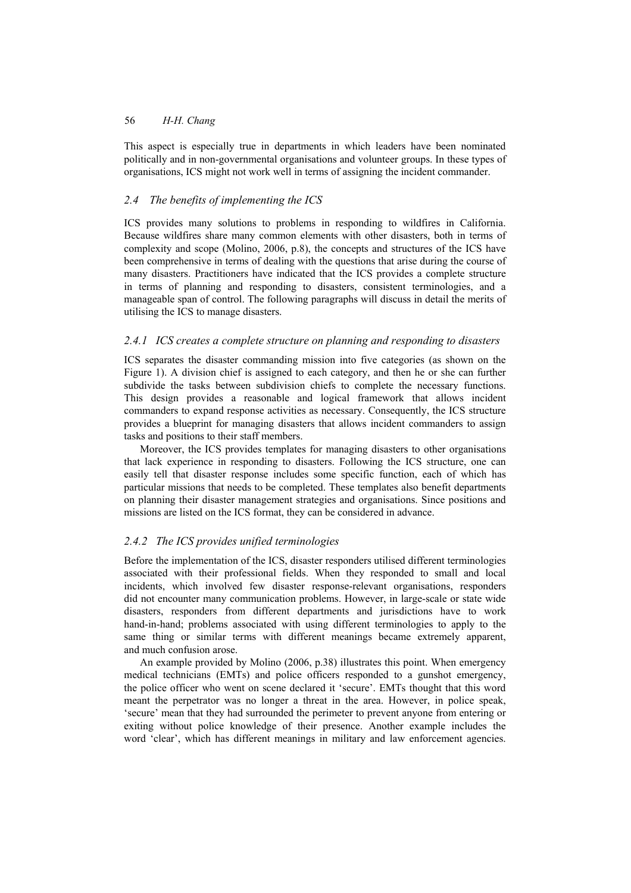This aspect is especially true in departments in which leaders have been nominated politically and in non-governmental organisations and volunteer groups. In these types of organisations, ICS might not work well in terms of assigning the incident commander.

# *2.4 The benefits of implementing the ICS*

ICS provides many solutions to problems in responding to wildfires in California. Because wildfires share many common elements with other disasters, both in terms of complexity and scope (Molino, 2006, p.8), the concepts and structures of the ICS have been comprehensive in terms of dealing with the questions that arise during the course of many disasters. Practitioners have indicated that the ICS provides a complete structure in terms of planning and responding to disasters, consistent terminologies, and a manageable span of control. The following paragraphs will discuss in detail the merits of utilising the ICS to manage disasters.

# *2.4.1 ICS creates a complete structure on planning and responding to disasters*

ICS separates the disaster commanding mission into five categories (as shown on the Figure 1). A division chief is assigned to each category, and then he or she can further subdivide the tasks between subdivision chiefs to complete the necessary functions. This design provides a reasonable and logical framework that allows incident commanders to expand response activities as necessary. Consequently, the ICS structure provides a blueprint for managing disasters that allows incident commanders to assign tasks and positions to their staff members.

Moreover, the ICS provides templates for managing disasters to other organisations that lack experience in responding to disasters. Following the ICS structure, one can easily tell that disaster response includes some specific function, each of which has particular missions that needs to be completed. These templates also benefit departments on planning their disaster management strategies and organisations. Since positions and missions are listed on the ICS format, they can be considered in advance.

# *2.4.2 The ICS provides unified terminologies*

Before the implementation of the ICS, disaster responders utilised different terminologies associated with their professional fields. When they responded to small and local incidents, which involved few disaster response-relevant organisations, responders did not encounter many communication problems. However, in large-scale or state wide disasters, responders from different departments and jurisdictions have to work hand-in-hand; problems associated with using different terminologies to apply to the same thing or similar terms with different meanings became extremely apparent, and much confusion arose.

An example provided by Molino (2006, p.38) illustrates this point. When emergency medical technicians (EMTs) and police officers responded to a gunshot emergency, the police officer who went on scene declared it 'secure'. EMTs thought that this word meant the perpetrator was no longer a threat in the area. However, in police speak, 'secure' mean that they had surrounded the perimeter to prevent anyone from entering or exiting without police knowledge of their presence. Another example includes the word 'clear', which has different meanings in military and law enforcement agencies.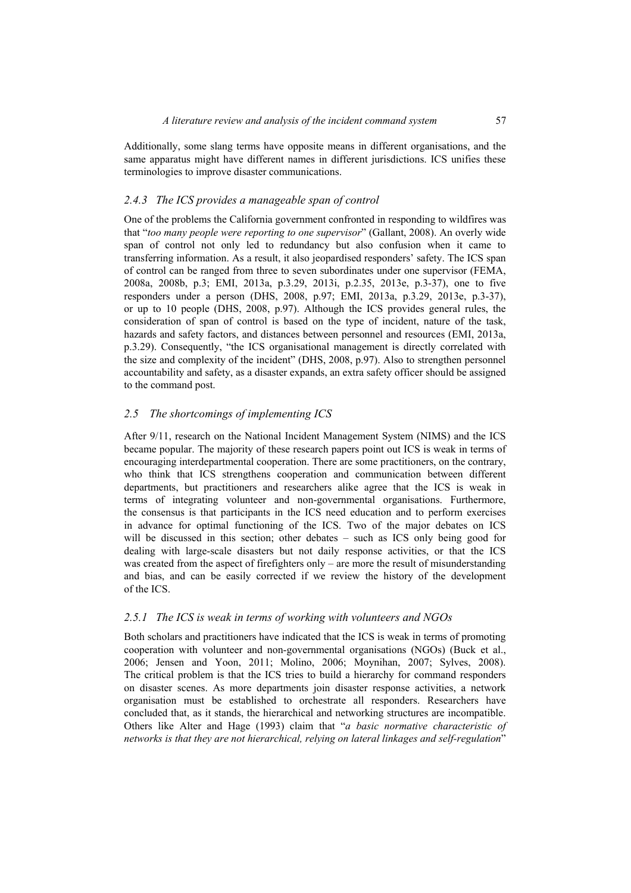Additionally, some slang terms have opposite means in different organisations, and the same apparatus might have different names in different jurisdictions. ICS unifies these terminologies to improve disaster communications.

# *2.4.3 The ICS provides a manageable span of control*

One of the problems the California government confronted in responding to wildfires was that "*too many people were reporting to one supervisor*" (Gallant, 2008). An overly wide span of control not only led to redundancy but also confusion when it came to transferring information. As a result, it also jeopardised responders' safety. The ICS span of control can be ranged from three to seven subordinates under one supervisor (FEMA, 2008a, 2008b, p.3; EMI, 2013a, p.3.29, 2013i, p.2.35, 2013e, p.3-37), one to five responders under a person (DHS, 2008, p.97; EMI, 2013a, p.3.29, 2013e, p.3-37), or up to 10 people (DHS, 2008, p.97). Although the ICS provides general rules, the consideration of span of control is based on the type of incident, nature of the task, hazards and safety factors, and distances between personnel and resources (EMI, 2013a, p.3.29). Consequently, "the ICS organisational management is directly correlated with the size and complexity of the incident" (DHS, 2008, p.97). Also to strengthen personnel accountability and safety, as a disaster expands, an extra safety officer should be assigned to the command post.

# *2.5 The shortcomings of implementing ICS*

After 9/11, research on the National Incident Management System (NIMS) and the ICS became popular. The majority of these research papers point out ICS is weak in terms of encouraging interdepartmental cooperation. There are some practitioners, on the contrary, who think that ICS strengthens cooperation and communication between different departments, but practitioners and researchers alike agree that the ICS is weak in terms of integrating volunteer and non-governmental organisations. Furthermore, the consensus is that participants in the ICS need education and to perform exercises in advance for optimal functioning of the ICS. Two of the major debates on ICS will be discussed in this section; other debates – such as ICS only being good for dealing with large-scale disasters but not daily response activities, or that the ICS was created from the aspect of firefighters only – are more the result of misunderstanding and bias, and can be easily corrected if we review the history of the development of the ICS.

#### *2.5.1 The ICS is weak in terms of working with volunteers and NGOs*

Both scholars and practitioners have indicated that the ICS is weak in terms of promoting cooperation with volunteer and non-governmental organisations (NGOs) (Buck et al., 2006; Jensen and Yoon, 2011; Molino, 2006; Moynihan, 2007; Sylves, 2008). The critical problem is that the ICS tries to build a hierarchy for command responders on disaster scenes. As more departments join disaster response activities, a network organisation must be established to orchestrate all responders. Researchers have concluded that, as it stands, the hierarchical and networking structures are incompatible. Others like Alter and Hage (1993) claim that "*a basic normative characteristic of networks is that they are not hierarchical, relying on lateral linkages and self-regulation*"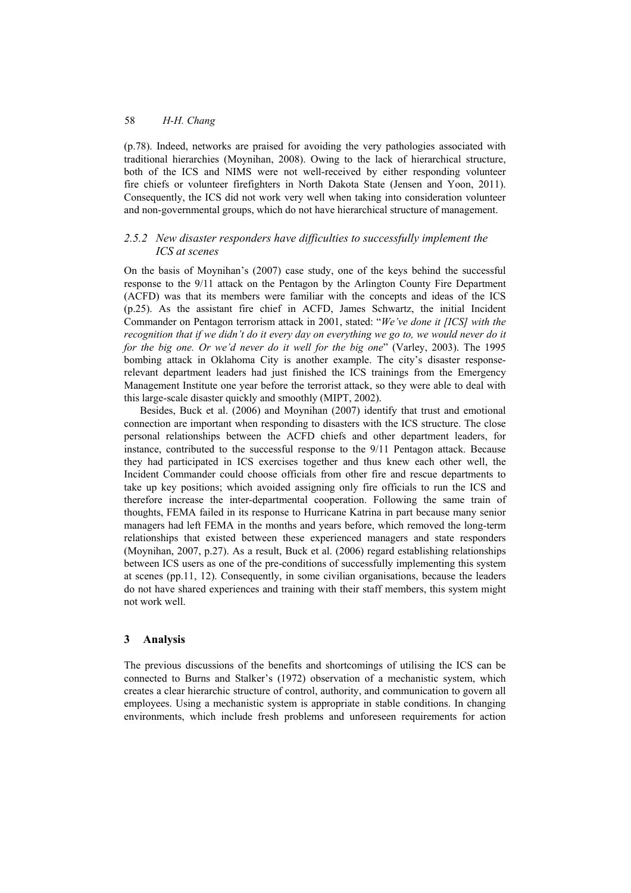(p.78). Indeed, networks are praised for avoiding the very pathologies associated with traditional hierarchies (Moynihan, 2008). Owing to the lack of hierarchical structure, both of the ICS and NIMS were not well-received by either responding volunteer fire chiefs or volunteer firefighters in North Dakota State (Jensen and Yoon, 2011). Consequently, the ICS did not work very well when taking into consideration volunteer and non-governmental groups, which do not have hierarchical structure of management.

# *2.5.2 New disaster responders have difficulties to successfully implement the ICS at scenes*

On the basis of Moynihan's (2007) case study, one of the keys behind the successful response to the 9/11 attack on the Pentagon by the Arlington County Fire Department (ACFD) was that its members were familiar with the concepts and ideas of the ICS (p.25). As the assistant fire chief in ACFD, James Schwartz, the initial Incident Commander on Pentagon terrorism attack in 2001, stated: "*We've done it [ICS] with the recognition that if we didn't do it every day on everything we go to, we would never do it for the big one. Or we'd never do it well for the big one*" (Varley, 2003). The 1995 bombing attack in Oklahoma City is another example. The city's disaster responserelevant department leaders had just finished the ICS trainings from the Emergency Management Institute one year before the terrorist attack, so they were able to deal with this large-scale disaster quickly and smoothly (MIPT, 2002).

Besides, Buck et al. (2006) and Moynihan (2007) identify that trust and emotional connection are important when responding to disasters with the ICS structure. The close personal relationships between the ACFD chiefs and other department leaders, for instance, contributed to the successful response to the 9/11 Pentagon attack. Because they had participated in ICS exercises together and thus knew each other well, the Incident Commander could choose officials from other fire and rescue departments to take up key positions; which avoided assigning only fire officials to run the ICS and therefore increase the inter-departmental cooperation. Following the same train of thoughts, FEMA failed in its response to Hurricane Katrina in part because many senior managers had left FEMA in the months and years before, which removed the long-term relationships that existed between these experienced managers and state responders (Moynihan, 2007, p.27). As a result, Buck et al. (2006) regard establishing relationships between ICS users as one of the pre-conditions of successfully implementing this system at scenes (pp.11, 12). Consequently, in some civilian organisations, because the leaders do not have shared experiences and training with their staff members, this system might not work well.

#### **3 Analysis**

The previous discussions of the benefits and shortcomings of utilising the ICS can be connected to Burns and Stalker's (1972) observation of a mechanistic system, which creates a clear hierarchic structure of control, authority, and communication to govern all employees. Using a mechanistic system is appropriate in stable conditions. In changing environments, which include fresh problems and unforeseen requirements for action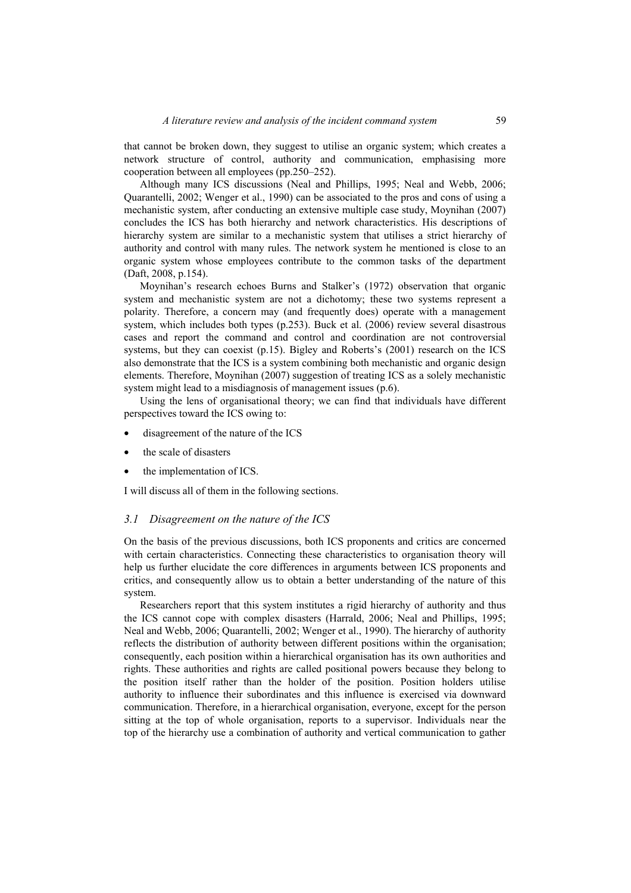that cannot be broken down, they suggest to utilise an organic system; which creates a network structure of control, authority and communication, emphasising more cooperation between all employees (pp.250–252).

Although many ICS discussions (Neal and Phillips, 1995; Neal and Webb, 2006; Quarantelli, 2002; Wenger et al., 1990) can be associated to the pros and cons of using a mechanistic system, after conducting an extensive multiple case study, Moynihan (2007) concludes the ICS has both hierarchy and network characteristics. His descriptions of hierarchy system are similar to a mechanistic system that utilises a strict hierarchy of authority and control with many rules. The network system he mentioned is close to an organic system whose employees contribute to the common tasks of the department (Daft, 2008, p.154).

Moynihan's research echoes Burns and Stalker's (1972) observation that organic system and mechanistic system are not a dichotomy; these two systems represent a polarity. Therefore, a concern may (and frequently does) operate with a management system, which includes both types (p.253). Buck et al. (2006) review several disastrous cases and report the command and control and coordination are not controversial systems, but they can coexist (p.15). Bigley and Roberts's (2001) research on the ICS also demonstrate that the ICS is a system combining both mechanistic and organic design elements. Therefore, Moynihan (2007) suggestion of treating ICS as a solely mechanistic system might lead to a misdiagnosis of management issues (p.6).

Using the lens of organisational theory; we can find that individuals have different perspectives toward the ICS owing to:

- disagreement of the nature of the ICS
- the scale of disasters
- the implementation of ICS.

I will discuss all of them in the following sections.

#### *3.1 Disagreement on the nature of the ICS*

On the basis of the previous discussions, both ICS proponents and critics are concerned with certain characteristics. Connecting these characteristics to organisation theory will help us further elucidate the core differences in arguments between ICS proponents and critics, and consequently allow us to obtain a better understanding of the nature of this system.

Researchers report that this system institutes a rigid hierarchy of authority and thus the ICS cannot cope with complex disasters (Harrald, 2006; Neal and Phillips, 1995; Neal and Webb, 2006; Quarantelli, 2002; Wenger et al., 1990). The hierarchy of authority reflects the distribution of authority between different positions within the organisation; consequently, each position within a hierarchical organisation has its own authorities and rights. These authorities and rights are called positional powers because they belong to the position itself rather than the holder of the position. Position holders utilise authority to influence their subordinates and this influence is exercised via downward communication. Therefore, in a hierarchical organisation, everyone, except for the person sitting at the top of whole organisation, reports to a supervisor. Individuals near the top of the hierarchy use a combination of authority and vertical communication to gather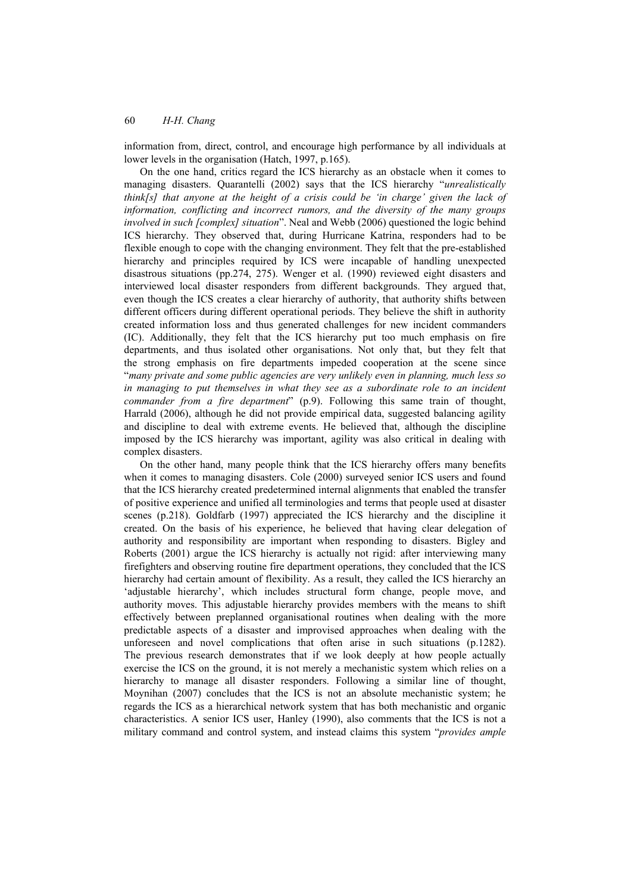information from, direct, control, and encourage high performance by all individuals at lower levels in the organisation (Hatch, 1997, p.165).

On the one hand, critics regard the ICS hierarchy as an obstacle when it comes to managing disasters. Quarantelli (2002) says that the ICS hierarchy "*unrealistically think[s] that anyone at the height of a crisis could be 'in charge' given the lack of information, conflicting and incorrect rumors, and the diversity of the many groups involved in such [complex] situation*". Neal and Webb (2006) questioned the logic behind ICS hierarchy. They observed that, during Hurricane Katrina, responders had to be flexible enough to cope with the changing environment. They felt that the pre-established hierarchy and principles required by ICS were incapable of handling unexpected disastrous situations (pp.274, 275). Wenger et al. (1990) reviewed eight disasters and interviewed local disaster responders from different backgrounds. They argued that, even though the ICS creates a clear hierarchy of authority, that authority shifts between different officers during different operational periods. They believe the shift in authority created information loss and thus generated challenges for new incident commanders (IC). Additionally, they felt that the ICS hierarchy put too much emphasis on fire departments, and thus isolated other organisations. Not only that, but they felt that the strong emphasis on fire departments impeded cooperation at the scene since "*many private and some public agencies are very unlikely even in planning, much less so*  in managing to put themselves in what they see as a subordinate role to an incident *commander from a fire department*" (p.9). Following this same train of thought, Harrald (2006), although he did not provide empirical data, suggested balancing agility and discipline to deal with extreme events. He believed that, although the discipline imposed by the ICS hierarchy was important, agility was also critical in dealing with complex disasters.

On the other hand, many people think that the ICS hierarchy offers many benefits when it comes to managing disasters. Cole (2000) surveyed senior ICS users and found that the ICS hierarchy created predetermined internal alignments that enabled the transfer of positive experience and unified all terminologies and terms that people used at disaster scenes (p.218). Goldfarb (1997) appreciated the ICS hierarchy and the discipline it created. On the basis of his experience, he believed that having clear delegation of authority and responsibility are important when responding to disasters. Bigley and Roberts (2001) argue the ICS hierarchy is actually not rigid: after interviewing many firefighters and observing routine fire department operations, they concluded that the ICS hierarchy had certain amount of flexibility. As a result, they called the ICS hierarchy an 'adjustable hierarchy', which includes structural form change, people move, and authority moves. This adjustable hierarchy provides members with the means to shift effectively between preplanned organisational routines when dealing with the more predictable aspects of a disaster and improvised approaches when dealing with the unforeseen and novel complications that often arise in such situations (p.1282). The previous research demonstrates that if we look deeply at how people actually exercise the ICS on the ground, it is not merely a mechanistic system which relies on a hierarchy to manage all disaster responders. Following a similar line of thought, Moynihan (2007) concludes that the ICS is not an absolute mechanistic system; he regards the ICS as a hierarchical network system that has both mechanistic and organic characteristics. A senior ICS user, Hanley (1990), also comments that the ICS is not a military command and control system, and instead claims this system "*provides ample*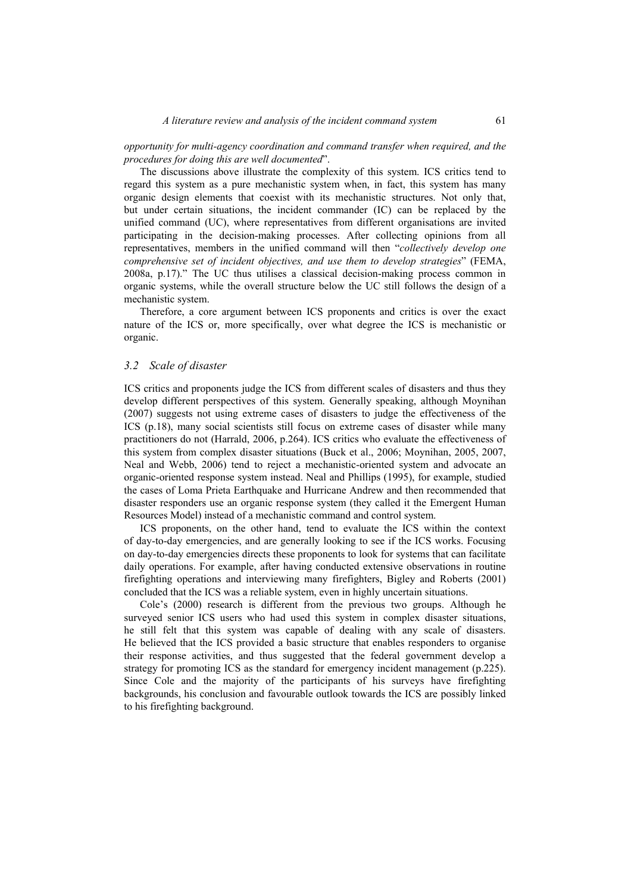*opportunity for multi-agency coordination and command transfer when required, and the procedures for doing this are well documented*".

The discussions above illustrate the complexity of this system. ICS critics tend to regard this system as a pure mechanistic system when, in fact, this system has many organic design elements that coexist with its mechanistic structures. Not only that, but under certain situations, the incident commander (IC) can be replaced by the unified command (UC), where representatives from different organisations are invited participating in the decision-making processes. After collecting opinions from all representatives, members in the unified command will then "*collectively develop one comprehensive set of incident objectives, and use them to develop strategies*" (FEMA, 2008a, p.17)." The UC thus utilises a classical decision-making process common in organic systems, while the overall structure below the UC still follows the design of a mechanistic system.

Therefore, a core argument between ICS proponents and critics is over the exact nature of the ICS or, more specifically, over what degree the ICS is mechanistic or organic.

# *3.2 Scale of disaster*

ICS critics and proponents judge the ICS from different scales of disasters and thus they develop different perspectives of this system. Generally speaking, although Moynihan (2007) suggests not using extreme cases of disasters to judge the effectiveness of the ICS (p.18), many social scientists still focus on extreme cases of disaster while many practitioners do not (Harrald, 2006, p.264). ICS critics who evaluate the effectiveness of this system from complex disaster situations (Buck et al., 2006; Moynihan, 2005, 2007, Neal and Webb, 2006) tend to reject a mechanistic-oriented system and advocate an organic-oriented response system instead. Neal and Phillips (1995), for example, studied the cases of Loma Prieta Earthquake and Hurricane Andrew and then recommended that disaster responders use an organic response system (they called it the Emergent Human Resources Model) instead of a mechanistic command and control system.

ICS proponents, on the other hand, tend to evaluate the ICS within the context of day-to-day emergencies, and are generally looking to see if the ICS works. Focusing on day-to-day emergencies directs these proponents to look for systems that can facilitate daily operations. For example, after having conducted extensive observations in routine firefighting operations and interviewing many firefighters, Bigley and Roberts (2001) concluded that the ICS was a reliable system, even in highly uncertain situations.

Cole's (2000) research is different from the previous two groups. Although he surveyed senior ICS users who had used this system in complex disaster situations, he still felt that this system was capable of dealing with any scale of disasters. He believed that the ICS provided a basic structure that enables responders to organise their response activities, and thus suggested that the federal government develop a strategy for promoting ICS as the standard for emergency incident management (p.225). Since Cole and the majority of the participants of his surveys have firefighting backgrounds, his conclusion and favourable outlook towards the ICS are possibly linked to his firefighting background.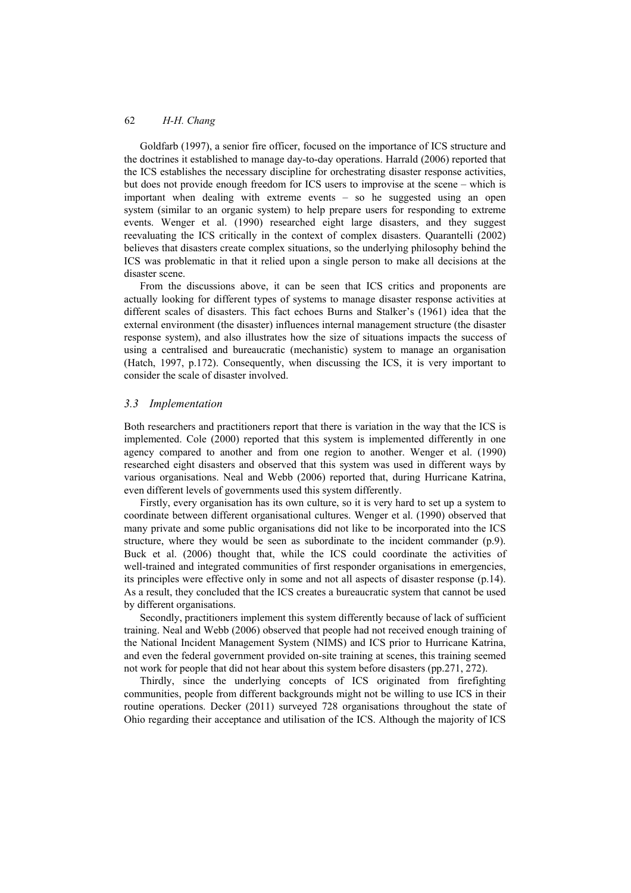Goldfarb (1997), a senior fire officer, focused on the importance of ICS structure and the doctrines it established to manage day-to-day operations. Harrald (2006) reported that the ICS establishes the necessary discipline for orchestrating disaster response activities, but does not provide enough freedom for ICS users to improvise at the scene – which is important when dealing with extreme events – so he suggested using an open system (similar to an organic system) to help prepare users for responding to extreme events. Wenger et al. (1990) researched eight large disasters, and they suggest reevaluating the ICS critically in the context of complex disasters. Quarantelli (2002) believes that disasters create complex situations, so the underlying philosophy behind the ICS was problematic in that it relied upon a single person to make all decisions at the disaster scene.

From the discussions above, it can be seen that ICS critics and proponents are actually looking for different types of systems to manage disaster response activities at different scales of disasters. This fact echoes Burns and Stalker's (1961) idea that the external environment (the disaster) influences internal management structure (the disaster response system), and also illustrates how the size of situations impacts the success of using a centralised and bureaucratic (mechanistic) system to manage an organisation (Hatch, 1997, p.172). Consequently, when discussing the ICS, it is very important to consider the scale of disaster involved.

#### *3.3 Implementation*

Both researchers and practitioners report that there is variation in the way that the ICS is implemented. Cole (2000) reported that this system is implemented differently in one agency compared to another and from one region to another. Wenger et al. (1990) researched eight disasters and observed that this system was used in different ways by various organisations. Neal and Webb (2006) reported that, during Hurricane Katrina, even different levels of governments used this system differently.

Firstly, every organisation has its own culture, so it is very hard to set up a system to coordinate between different organisational cultures. Wenger et al. (1990) observed that many private and some public organisations did not like to be incorporated into the ICS structure, where they would be seen as subordinate to the incident commander (p.9). Buck et al. (2006) thought that, while the ICS could coordinate the activities of well-trained and integrated communities of first responder organisations in emergencies, its principles were effective only in some and not all aspects of disaster response (p.14). As a result, they concluded that the ICS creates a bureaucratic system that cannot be used by different organisations.

Secondly, practitioners implement this system differently because of lack of sufficient training. Neal and Webb (2006) observed that people had not received enough training of the National Incident Management System (NIMS) and ICS prior to Hurricane Katrina, and even the federal government provided on-site training at scenes, this training seemed not work for people that did not hear about this system before disasters (pp.271, 272).

Thirdly, since the underlying concepts of ICS originated from firefighting communities, people from different backgrounds might not be willing to use ICS in their routine operations. Decker (2011) surveyed 728 organisations throughout the state of Ohio regarding their acceptance and utilisation of the ICS. Although the majority of ICS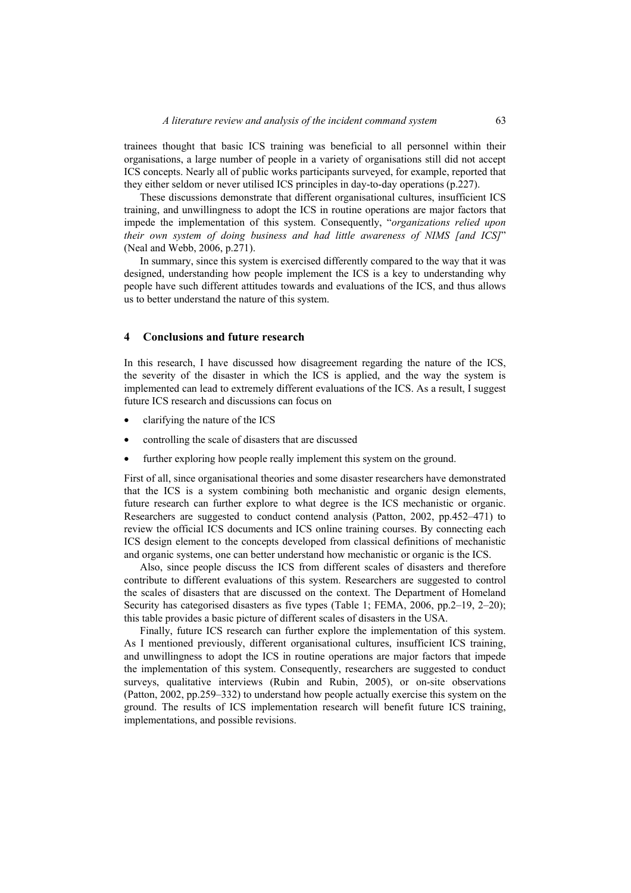trainees thought that basic ICS training was beneficial to all personnel within their organisations, a large number of people in a variety of organisations still did not accept ICS concepts. Nearly all of public works participants surveyed, for example, reported that they either seldom or never utilised ICS principles in day-to-day operations (p.227).

These discussions demonstrate that different organisational cultures, insufficient ICS training, and unwillingness to adopt the ICS in routine operations are major factors that impede the implementation of this system. Consequently, "*organizations relied upon their own system of doing business and had little awareness of NIMS [and ICS]*" (Neal and Webb, 2006, p.271).

In summary, since this system is exercised differently compared to the way that it was designed, understanding how people implement the ICS is a key to understanding why people have such different attitudes towards and evaluations of the ICS, and thus allows us to better understand the nature of this system.

# **4 Conclusions and future research**

In this research, I have discussed how disagreement regarding the nature of the ICS, the severity of the disaster in which the ICS is applied, and the way the system is implemented can lead to extremely different evaluations of the ICS. As a result, I suggest future ICS research and discussions can focus on

- clarifying the nature of the ICS
- controlling the scale of disasters that are discussed
- further exploring how people really implement this system on the ground.

First of all, since organisational theories and some disaster researchers have demonstrated that the ICS is a system combining both mechanistic and organic design elements, future research can further explore to what degree is the ICS mechanistic or organic. Researchers are suggested to conduct contend analysis (Patton, 2002, pp.452–471) to review the official ICS documents and ICS online training courses. By connecting each ICS design element to the concepts developed from classical definitions of mechanistic and organic systems, one can better understand how mechanistic or organic is the ICS.

Also, since people discuss the ICS from different scales of disasters and therefore contribute to different evaluations of this system. Researchers are suggested to control the scales of disasters that are discussed on the context. The Department of Homeland Security has categorised disasters as five types (Table 1; FEMA, 2006, pp.2–19, 2–20); this table provides a basic picture of different scales of disasters in the USA.

Finally, future ICS research can further explore the implementation of this system. As I mentioned previously, different organisational cultures, insufficient ICS training, and unwillingness to adopt the ICS in routine operations are major factors that impede the implementation of this system. Consequently, researchers are suggested to conduct surveys, qualitative interviews (Rubin and Rubin, 2005), or on-site observations (Patton, 2002, pp.259–332) to understand how people actually exercise this system on the ground. The results of ICS implementation research will benefit future ICS training, implementations, and possible revisions.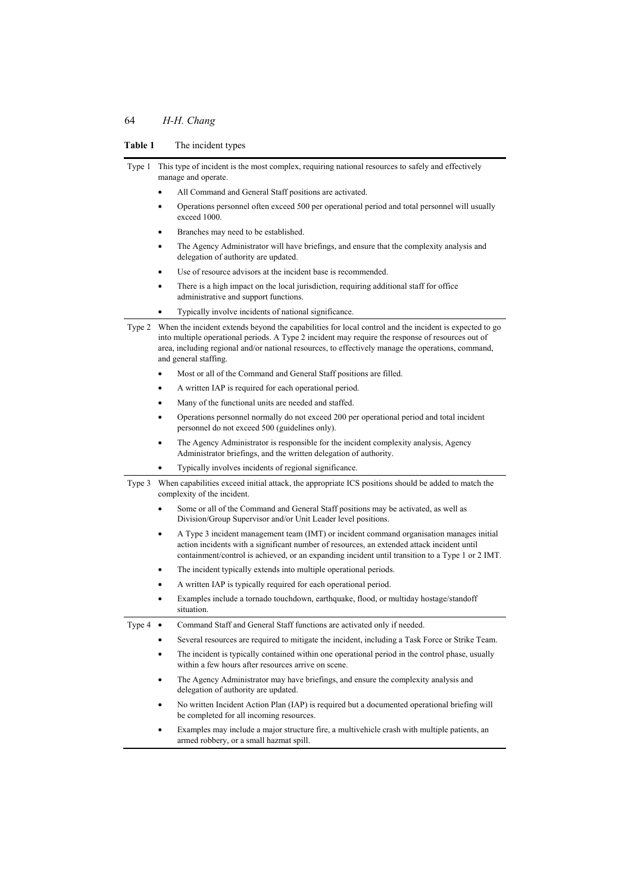# **Table 1** The incident types

Type 1 This type of incident is the most complex, requiring national resources to safely and effectively manage and operate.

- All Command and General Staff positions are activated.
- Operations personnel often exceed 500 per operational period and total personnel will usually exceed 1000.
- Branches may need to be established.
- The Agency Administrator will have briefings, and ensure that the complexity analysis and delegation of authority are updated.
- Use of resource advisors at the incident base is recommended.
- There is a high impact on the local jurisdiction, requiring additional staff for office administrative and support functions.
- Typically involve incidents of national significance.

Type 2 When the incident extends beyond the capabilities for local control and the incident is expected to go into multiple operational periods. A Type 2 incident may require the response of resources out of area, including regional and/or national resources, to effectively manage the operations, command, and general staffing.

- Most or all of the Command and General Staff positions are filled.
- A written IAP is required for each operational period.
- Many of the functional units are needed and staffed.
- Operations personnel normally do not exceed 200 per operational period and total incident personnel do not exceed 500 (guidelines only).
- The Agency Administrator is responsible for the incident complexity analysis, Agency Administrator briefings, and the written delegation of authority.
- Typically involves incidents of regional significance.
- Type 3 When capabilities exceed initial attack, the appropriate ICS positions should be added to match the complexity of the incident.
	- Some or all of the Command and General Staff positions may be activated, as well as Division/Group Supervisor and/or Unit Leader level positions.
	- A Type 3 incident management team (IMT) or incident command organisation manages initial action incidents with a significant number of resources, an extended attack incident until containment/control is achieved, or an expanding incident until transition to a Type 1 or 2 IMT.
	- The incident typically extends into multiple operational periods.
	- A written IAP is typically required for each operational period.
	- Examples include a tornado touchdown, earthquake, flood, or multiday hostage/standoff situation

Type 4 • Command Staff and General Staff functions are activated only if needed.

- Several resources are required to mitigate the incident, including a Task Force or Strike Team.
- The incident is typically contained within one operational period in the control phase, usually within a few hours after resources arrive on scene.
- The Agency Administrator may have briefings, and ensure the complexity analysis and delegation of authority are updated.
- No written Incident Action Plan (IAP) is required but a documented operational briefing will be completed for all incoming resources.
- Examples may include a major structure fire, a multivehicle crash with multiple patients, an armed robbery, or a small hazmat spill.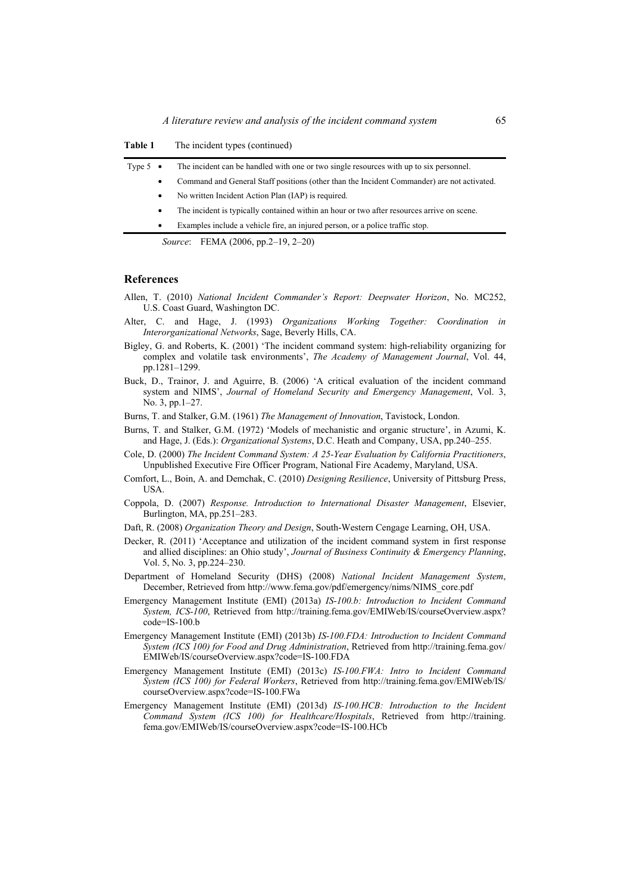| Table 1          | The incident types (continued)                                                             |  |
|------------------|--------------------------------------------------------------------------------------------|--|
| Type $5 \bullet$ | The incident can be handled with one or two single resources with up to six personnel.     |  |
| ٠                | Command and General Staff positions (other than the Incident Commander) are not activated. |  |
| ٠                | No written Incident Action Plan (IAP) is required.                                         |  |
| ٠                | The incident is typically contained within an hour or two after resources arrive on scene. |  |
| ٠                | Examples include a vehicle fire, an injured person, or a police traffic stop.              |  |
|                  |                                                                                            |  |

*Source*: FEMA (2006, pp.2–19, 2–20)

#### **References**

- Allen, T. (2010) *National Incident Commander's Report: Deepwater Horizon*, No. MC252, U.S. Coast Guard, Washington DC.
- Alter, C. and Hage, J. (1993) *Organizations Working Together: Coordination in Interorganizational Networks*, Sage, Beverly Hills, CA.
- Bigley, G. and Roberts, K. (2001) 'The incident command system: high-reliability organizing for complex and volatile task environments', *The Academy of Management Journal*, Vol. 44, pp.1281–1299.
- Buck, D., Trainor, J. and Aguirre, B. (2006) 'A critical evaluation of the incident command system and NIMS', *Journal of Homeland Security and Emergency Management*, Vol. 3, No. 3, pp.1–27.
- Burns, T. and Stalker, G.M. (1961) *The Management of Innovation*, Tavistock, London.
- Burns, T. and Stalker, G.M. (1972) 'Models of mechanistic and organic structure', in Azumi, K. and Hage, J. (Eds.): *Organizational Systems*, D.C. Heath and Company, USA, pp.240–255.
- Cole, D. (2000) *The Incident Command System: A 25-Year Evaluation by California Practitioners*, Unpublished Executive Fire Officer Program, National Fire Academy, Maryland, USA.
- Comfort, L., Boin, A. and Demchak, C. (2010) *Designing Resilience*, University of Pittsburg Press, USA.
- Coppola, D. (2007) *Response. Introduction to International Disaster Management*, Elsevier, Burlington, MA, pp.251–283.
- Daft, R. (2008) *Organization Theory and Design*, South-Western Cengage Learning, OH, USA.
- Decker, R. (2011) 'Acceptance and utilization of the incident command system in first response and allied disciplines: an Ohio study', *Journal of Business Continuity & Emergency Planning*, Vol. 5, No. 3, pp.224–230.
- Department of Homeland Security (DHS) (2008) *National Incident Management System*, December, Retrieved from http://www.fema.gov/pdf/emergency/nims/NIMS\_core.pdf
- Emergency Management Institute (EMI) (2013a) *IS-100.b: Introduction to Incident Command System, ICS-100*, Retrieved from http://training.fema.gov/EMIWeb/IS/courseOverview.aspx? code=IS-100.b
- Emergency Management Institute (EMI) (2013b) *IS-100.FDA: Introduction to Incident Command System (ICS 100) for Food and Drug Administration*, Retrieved from http://training.fema.gov/ EMIWeb/IS/courseOverview.aspx?code=IS-100.FDA
- Emergency Management Institute (EMI) (2013c) *IS-100.FWA: Intro to Incident Command System (ICS 100) for Federal Workers*, Retrieved from http://training.fema.gov/EMIWeb/IS/ courseOverview.aspx?code=IS-100.FWa
- Emergency Management Institute (EMI) (2013d) *IS-100.HCB: Introduction to the Incident Command System (ICS 100) for Healthcare/Hospitals*, Retrieved from http://training. fema.gov/EMIWeb/IS/courseOverview.aspx?code=IS-100.HCb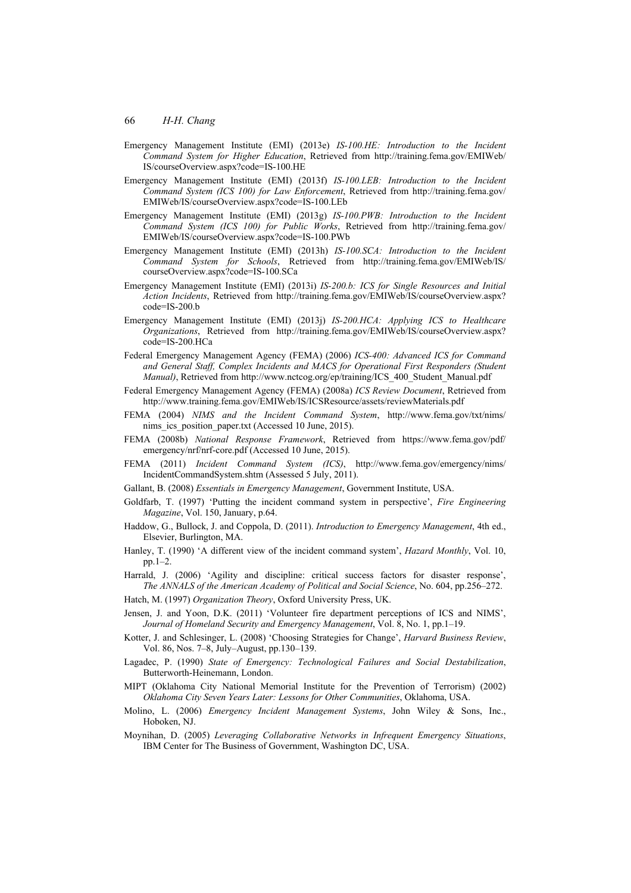- Emergency Management Institute (EMI) (2013e) *IS-100.HE: Introduction to the Incident Command System for Higher Education*, Retrieved from http://training.fema.gov/EMIWeb/ IS/courseOverview.aspx?code=IS-100.HE
- Emergency Management Institute (EMI) (2013f) *IS-100.LEB: Introduction to the Incident Command System (ICS 100) for Law Enforcement*, Retrieved from http://training.fema.gov/ EMIWeb/IS/courseOverview.aspx?code=IS-100.LEb
- Emergency Management Institute (EMI) (2013g) *IS-100.PWB: Introduction to the Incident Command System (ICS 100) for Public Works*, Retrieved from http://training.fema.gov/ EMIWeb/IS/courseOverview.aspx?code=IS-100.PWb
- Emergency Management Institute (EMI) (2013h) *IS-100.SCA: Introduction to the Incident Command System for Schools*, Retrieved from http://training.fema.gov/EMIWeb/IS/ courseOverview.aspx?code=IS-100.SCa
- Emergency Management Institute (EMI) (2013i) *IS-200.b: ICS for Single Resources and Initial Action Incidents*, Retrieved from http://training.fema.gov/EMIWeb/IS/courseOverview.aspx? code=IS-200.b
- Emergency Management Institute (EMI) (2013j) *IS-200.HCA: Applying ICS to Healthcare Organizations*, Retrieved from http://training.fema.gov/EMIWeb/IS/courseOverview.aspx? code=IS-200.HCa
- Federal Emergency Management Agency (FEMA) (2006) *ICS-400: Advanced ICS for Command and General Staff, Complex Incidents and MACS for Operational First Responders (Student Manual)*, Retrieved from http://www.nctcog.org/ep/training/ICS\_400\_Student\_Manual.pdf
- Federal Emergency Management Agency (FEMA) (2008a) *ICS Review Document*, Retrieved from http://www.training.fema.gov/EMIWeb/IS/ICSResource/assets/reviewMaterials.pdf
- FEMA (2004) *NIMS and the Incident Command System*, http://www.fema.gov/txt/nims/ nims\_ics\_position\_paper.txt (Accessed 10 June, 2015).
- FEMA (2008b) *National Response Framework*, Retrieved from https://www.fema.gov/pdf/ emergency/nrf/nrf-core.pdf (Accessed 10 June, 2015).
- FEMA (2011) *Incident Command System (ICS)*, http://www.fema.gov/emergency/nims/ IncidentCommandSystem.shtm (Assessed 5 July, 2011).
- Gallant, B. (2008) *Essentials in Emergency Management*, Government Institute, USA.
- Goldfarb, T. (1997) 'Putting the incident command system in perspective', *Fire Engineering Magazine*, Vol. 150, January, p.64.
- Haddow, G., Bullock, J. and Coppola, D. (2011). *Introduction to Emergency Management*, 4th ed., Elsevier, Burlington, MA.
- Hanley, T. (1990) 'A different view of the incident command system', *Hazard Monthly*, Vol. 10, pp.1–2.
- Harrald, J. (2006) 'Agility and discipline: critical success factors for disaster response', *The ANNALS of the American Academy of Political and Social Science*, No. 604, pp.256–272.

Hatch, M. (1997) *Organization Theory*, Oxford University Press, UK.

- Jensen, J. and Yoon, D.K. (2011) 'Volunteer fire department perceptions of ICS and NIMS', *Journal of Homeland Security and Emergency Management*, Vol. 8, No. 1, pp.1–19.
- Kotter, J. and Schlesinger, L. (2008) 'Choosing Strategies for Change', *Harvard Business Review*, Vol. 86, Nos. 7–8, July–August, pp.130–139.
- Lagadec, P. (1990) *State of Emergency: Technological Failures and Social Destabilization*, Butterworth-Heinemann, London.
- MIPT (Oklahoma City National Memorial Institute for the Prevention of Terrorism) (2002) *Oklahoma City Seven Years Later: Lessons for Other Communities*, Oklahoma, USA.
- Molino, L. (2006) *Emergency Incident Management Systems*, John Wiley & Sons, Inc., Hoboken, NJ.
- Moynihan, D. (2005) *Leveraging Collaborative Networks in Infrequent Emergency Situations*, IBM Center for The Business of Government, Washington DC, USA.